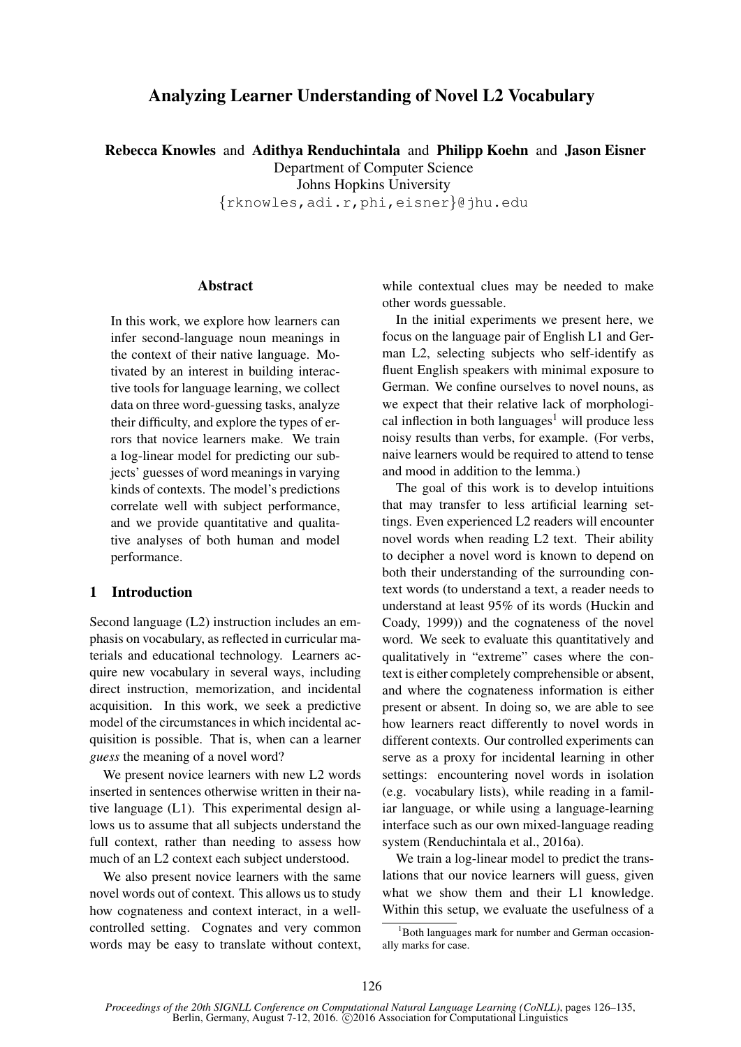# Analyzing Learner Understanding of Novel L2 Vocabulary

Rebecca Knowles and Adithya Renduchintala and Philipp Koehn and Jason Eisner

Department of Computer Science

Johns Hopkins University

{rknowles,adi.r,phi,eisner}@jhu.edu

## **Abstract**

In this work, we explore how learners can infer second-language noun meanings in the context of their native language. Motivated by an interest in building interactive tools for language learning, we collect data on three word-guessing tasks, analyze their difficulty, and explore the types of errors that novice learners make. We train a log-linear model for predicting our subjects' guesses of word meanings in varying kinds of contexts. The model's predictions correlate well with subject performance, and we provide quantitative and qualitative analyses of both human and model performance.

## 1 Introduction

Second language (L2) instruction includes an emphasis on vocabulary, as reflected in curricular materials and educational technology. Learners acquire new vocabulary in several ways, including direct instruction, memorization, and incidental acquisition. In this work, we seek a predictive model of the circumstances in which incidental acquisition is possible. That is, when can a learner *guess* the meaning of a novel word?

We present novice learners with new L2 words inserted in sentences otherwise written in their native language (L1). This experimental design allows us to assume that all subjects understand the full context, rather than needing to assess how much of an L2 context each subject understood.

We also present novice learners with the same novel words out of context. This allows us to study how cognateness and context interact, in a wellcontrolled setting. Cognates and very common words may be easy to translate without context,

while contextual clues may be needed to make other words guessable.

In the initial experiments we present here, we focus on the language pair of English L1 and German L2, selecting subjects who self-identify as fluent English speakers with minimal exposure to German. We confine ourselves to novel nouns, as we expect that their relative lack of morphological inflection in both languages<sup>1</sup> will produce less noisy results than verbs, for example. (For verbs, naive learners would be required to attend to tense and mood in addition to the lemma.)

The goal of this work is to develop intuitions that may transfer to less artificial learning settings. Even experienced L2 readers will encounter novel words when reading L2 text. Their ability to decipher a novel word is known to depend on both their understanding of the surrounding context words (to understand a text, a reader needs to understand at least 95% of its words (Huckin and Coady, 1999)) and the cognateness of the novel word. We seek to evaluate this quantitatively and qualitatively in "extreme" cases where the context is either completely comprehensible or absent, and where the cognateness information is either present or absent. In doing so, we are able to see how learners react differently to novel words in different contexts. Our controlled experiments can serve as a proxy for incidental learning in other settings: encountering novel words in isolation (e.g. vocabulary lists), while reading in a familiar language, or while using a language-learning interface such as our own mixed-language reading system (Renduchintala et al., 2016a).

We train a log-linear model to predict the translations that our novice learners will guess, given what we show them and their L1 knowledge. Within this setup, we evaluate the usefulness of a

<sup>&</sup>lt;sup>1</sup>Both languages mark for number and German occasionally marks for case.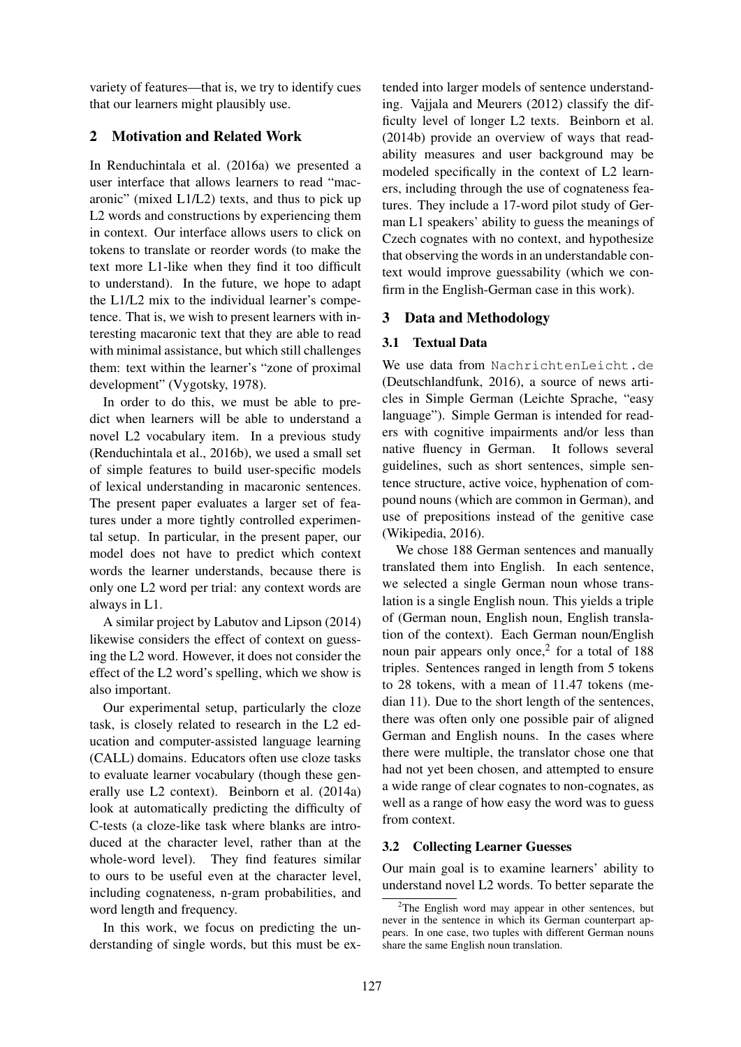variety of features—that is, we try to identify cues that our learners might plausibly use.

## 2 Motivation and Related Work

In Renduchintala et al. (2016a) we presented a user interface that allows learners to read "macaronic" (mixed L1/L2) texts, and thus to pick up L2 words and constructions by experiencing them in context. Our interface allows users to click on tokens to translate or reorder words (to make the text more L1-like when they find it too difficult to understand). In the future, we hope to adapt the L1/L2 mix to the individual learner's competence. That is, we wish to present learners with interesting macaronic text that they are able to read with minimal assistance, but which still challenges them: text within the learner's "zone of proximal development" (Vygotsky, 1978).

In order to do this, we must be able to predict when learners will be able to understand a novel L2 vocabulary item. In a previous study (Renduchintala et al., 2016b), we used a small set of simple features to build user-specific models of lexical understanding in macaronic sentences. The present paper evaluates a larger set of features under a more tightly controlled experimental setup. In particular, in the present paper, our model does not have to predict which context words the learner understands, because there is only one L2 word per trial: any context words are always in L1.

A similar project by Labutov and Lipson (2014) likewise considers the effect of context on guessing the L2 word. However, it does not consider the effect of the L2 word's spelling, which we show is also important.

Our experimental setup, particularly the cloze task, is closely related to research in the L2 education and computer-assisted language learning (CALL) domains. Educators often use cloze tasks to evaluate learner vocabulary (though these generally use L2 context). Beinborn et al. (2014a) look at automatically predicting the difficulty of C-tests (a cloze-like task where blanks are introduced at the character level, rather than at the whole-word level). They find features similar to ours to be useful even at the character level, including cognateness, n-gram probabilities, and word length and frequency.

In this work, we focus on predicting the understanding of single words, but this must be extended into larger models of sentence understanding. Vajjala and Meurers (2012) classify the difficulty level of longer L2 texts. Beinborn et al. (2014b) provide an overview of ways that readability measures and user background may be modeled specifically in the context of L2 learners, including through the use of cognateness features. They include a 17-word pilot study of German L1 speakers' ability to guess the meanings of Czech cognates with no context, and hypothesize that observing the words in an understandable context would improve guessability (which we confirm in the English-German case in this work).

## 3 Data and Methodology

## 3.1 Textual Data

We use data from NachrichtenLeicht.de (Deutschlandfunk, 2016), a source of news articles in Simple German (Leichte Sprache, "easy language"). Simple German is intended for readers with cognitive impairments and/or less than native fluency in German. It follows several guidelines, such as short sentences, simple sentence structure, active voice, hyphenation of compound nouns (which are common in German), and use of prepositions instead of the genitive case (Wikipedia, 2016).

We chose 188 German sentences and manually translated them into English. In each sentence, we selected a single German noun whose translation is a single English noun. This yields a triple of (German noun, English noun, English translation of the context). Each German noun/English noun pair appears only once, $2$  for a total of 188 triples. Sentences ranged in length from 5 tokens to 28 tokens, with a mean of 11.47 tokens (median 11). Due to the short length of the sentences, there was often only one possible pair of aligned German and English nouns. In the cases where there were multiple, the translator chose one that had not yet been chosen, and attempted to ensure a wide range of clear cognates to non-cognates, as well as a range of how easy the word was to guess from context.

## 3.2 Collecting Learner Guesses

Our main goal is to examine learners' ability to understand novel L2 words. To better separate the

 $2$ The English word may appear in other sentences, but never in the sentence in which its German counterpart appears. In one case, two tuples with different German nouns share the same English noun translation.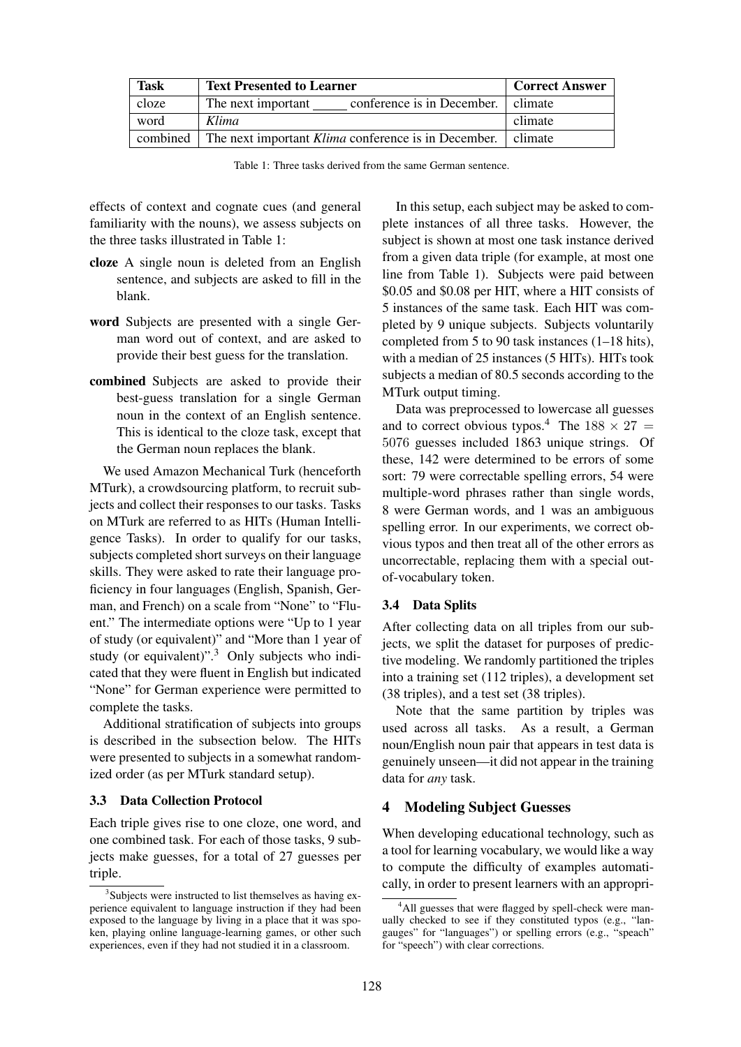| <b>Task</b> | <b>Text Presented to Learner</b>                                     | <b>Correct Answer</b> |
|-------------|----------------------------------------------------------------------|-----------------------|
| cloze       | conference is in December.   climate<br>The next important           |                       |
| word        | Klima                                                                | climate               |
|             | combined The next important Klima conference is in December. climate |                       |

Table 1: Three tasks derived from the same German sentence.

effects of context and cognate cues (and general familiarity with the nouns), we assess subjects on the three tasks illustrated in Table 1:

- cloze A single noun is deleted from an English sentence, and subjects are asked to fill in the blank.
- word Subjects are presented with a single German word out of context, and are asked to provide their best guess for the translation.
- combined Subjects are asked to provide their best-guess translation for a single German noun in the context of an English sentence. This is identical to the cloze task, except that the German noun replaces the blank.

We used Amazon Mechanical Turk (henceforth MTurk), a crowdsourcing platform, to recruit subjects and collect their responses to our tasks. Tasks on MTurk are referred to as HITs (Human Intelligence Tasks). In order to qualify for our tasks, subjects completed short surveys on their language skills. They were asked to rate their language proficiency in four languages (English, Spanish, German, and French) on a scale from "None" to "Fluent." The intermediate options were "Up to 1 year of study (or equivalent)" and "More than 1 year of study (or equivalent)".<sup>3</sup> Only subjects who indicated that they were fluent in English but indicated "None" for German experience were permitted to complete the tasks.

Additional stratification of subjects into groups is described in the subsection below. The HITs were presented to subjects in a somewhat randomized order (as per MTurk standard setup).

#### 3.3 Data Collection Protocol

Each triple gives rise to one cloze, one word, and one combined task. For each of those tasks, 9 subjects make guesses, for a total of 27 guesses per triple.

In this setup, each subject may be asked to complete instances of all three tasks. However, the subject is shown at most one task instance derived from a given data triple (for example, at most one line from Table 1). Subjects were paid between \$0.05 and \$0.08 per HIT, where a HIT consists of 5 instances of the same task. Each HIT was completed by 9 unique subjects. Subjects voluntarily completed from 5 to 90 task instances (1–18 hits), with a median of 25 instances (5 HITs). HITs took subjects a median of 80.5 seconds according to the MTurk output timing.

Data was preprocessed to lowercase all guesses and to correct obvious typos.<sup>4</sup> The  $188 \times 27$  = 5076 guesses included 1863 unique strings. Of these, 142 were determined to be errors of some sort: 79 were correctable spelling errors, 54 were multiple-word phrases rather than single words, 8 were German words, and 1 was an ambiguous spelling error. In our experiments, we correct obvious typos and then treat all of the other errors as uncorrectable, replacing them with a special outof-vocabulary token.

## 3.4 Data Splits

After collecting data on all triples from our subjects, we split the dataset for purposes of predictive modeling. We randomly partitioned the triples into a training set (112 triples), a development set (38 triples), and a test set (38 triples).

Note that the same partition by triples was used across all tasks. As a result, a German noun/English noun pair that appears in test data is genuinely unseen—it did not appear in the training data for *any* task.

## 4 Modeling Subject Guesses

When developing educational technology, such as a tool for learning vocabulary, we would like a way to compute the difficulty of examples automatically, in order to present learners with an appropri-

<sup>&</sup>lt;sup>3</sup>Subjects were instructed to list themselves as having experience equivalent to language instruction if they had been exposed to the language by living in a place that it was spoken, playing online language-learning games, or other such experiences, even if they had not studied it in a classroom.

<sup>&</sup>lt;sup>4</sup>All guesses that were flagged by spell-check were manually checked to see if they constituted typos (e.g., "langauges" for "languages") or spelling errors (e.g., "speach" for "speech") with clear corrections.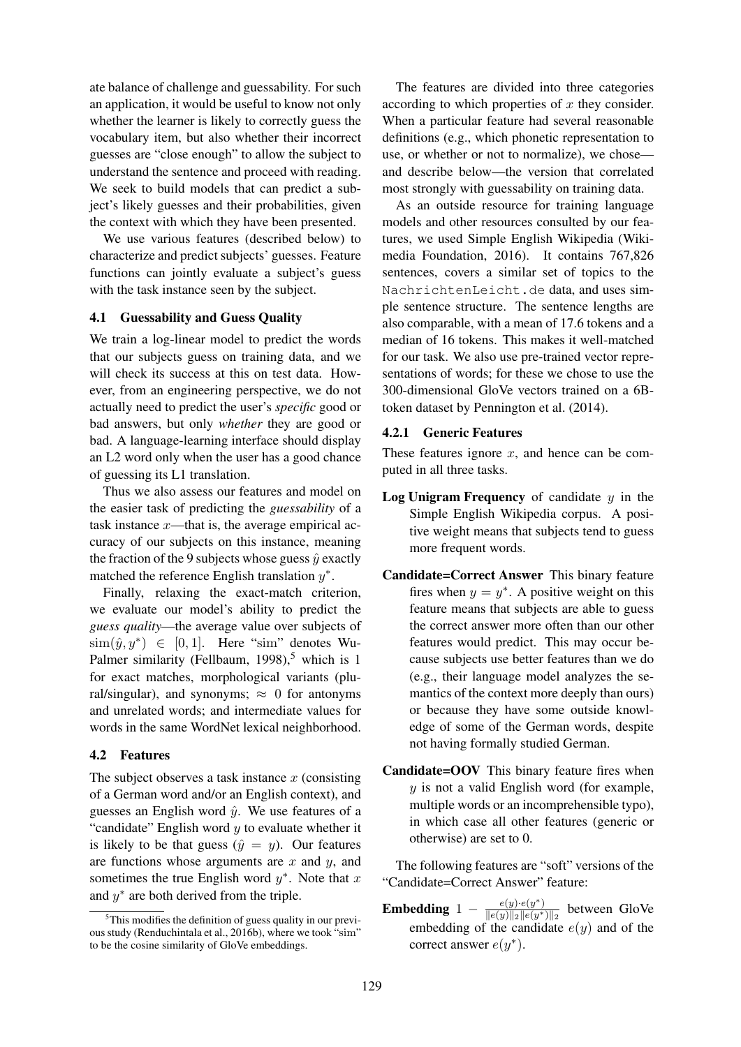ate balance of challenge and guessability. For such an application, it would be useful to know not only whether the learner is likely to correctly guess the vocabulary item, but also whether their incorrect guesses are "close enough" to allow the subject to understand the sentence and proceed with reading. We seek to build models that can predict a subject's likely guesses and their probabilities, given the context with which they have been presented.

We use various features (described below) to characterize and predict subjects' guesses. Feature functions can jointly evaluate a subject's guess with the task instance seen by the subject.

### 4.1 Guessability and Guess Quality

We train a log-linear model to predict the words that our subjects guess on training data, and we will check its success at this on test data. However, from an engineering perspective, we do not actually need to predict the user's *specific* good or bad answers, but only *whether* they are good or bad. A language-learning interface should display an L2 word only when the user has a good chance of guessing its L1 translation.

Thus we also assess our features and model on the easier task of predicting the *guessability* of a task instance  $x$ —that is, the average empirical accuracy of our subjects on this instance, meaning the fraction of the 9 subjects whose guess  $\hat{y}$  exactly matched the reference English translation  $y^*$ .

Finally, relaxing the exact-match criterion, we evaluate our model's ability to predict the *guess quality*—the average value over subjects of  $\text{sim}(\hat{y}, y^*) \in [0, 1]$ . Here "sim" denotes Wu-Palmer similarity (Fellbaum, 1998),<sup>5</sup> which is 1 for exact matches, morphological variants (plural/singular), and synonyms;  $\approx$  0 for antonyms and unrelated words; and intermediate values for words in the same WordNet lexical neighborhood.

### 4.2 Features

The subject observes a task instance  $x$  (consisting of a German word and/or an English context), and guesses an English word  $\hat{y}$ . We use features of a "candidate" English word  $y$  to evaluate whether it is likely to be that guess  $(\hat{y} = y)$ . Our features are functions whose arguments are  $x$  and  $y$ , and sometimes the true English word  $y^*$ . Note that x and  $y^*$  are both derived from the triple.

The features are divided into three categories according to which properties of  $x$  they consider. When a particular feature had several reasonable definitions (e.g., which phonetic representation to use, or whether or not to normalize), we chose and describe below—the version that correlated most strongly with guessability on training data.

As an outside resource for training language models and other resources consulted by our features, we used Simple English Wikipedia (Wikimedia Foundation, 2016). It contains 767,826 sentences, covers a similar set of topics to the NachrichtenLeicht.de data, and uses simple sentence structure. The sentence lengths are also comparable, with a mean of 17.6 tokens and a median of 16 tokens. This makes it well-matched for our task. We also use pre-trained vector representations of words; for these we chose to use the 300-dimensional GloVe vectors trained on a 6Btoken dataset by Pennington et al. (2014).

## 4.2.1 Generic Features

These features ignore  $x$ , and hence can be computed in all three tasks.

- **Log Unigram Frequency** of candidate  $y$  in the Simple English Wikipedia corpus. A positive weight means that subjects tend to guess more frequent words.
- Candidate=Correct Answer This binary feature fires when  $y = y^*$ . A positive weight on this feature means that subjects are able to guess the correct answer more often than our other features would predict. This may occur because subjects use better features than we do (e.g., their language model analyzes the semantics of the context more deeply than ours) or because they have some outside knowledge of some of the German words, despite not having formally studied German.
- Candidate=OOV This binary feature fires when  $y$  is not a valid English word (for example, multiple words or an incomprehensible typo), in which case all other features (generic or otherwise) are set to 0.

The following features are "soft" versions of the "Candidate=Correct Answer" feature:

Embedding  $1 - \frac{e(y) \cdot e(y^*)}{\|e(y)\|_2 \cdot \|e(y^*)\|_2}$  $\frac{e(y) \cdot e(y)}{\|e(y)\|_2 \|e(y^*)\|_2}$  between GloVe embedding of the candidate  $e(y)$  and of the correct answer  $e(y^*)$ .

 $5$ This modifies the definition of guess quality in our previous study (Renduchintala et al., 2016b), where we took "sim" to be the cosine similarity of GloVe embeddings.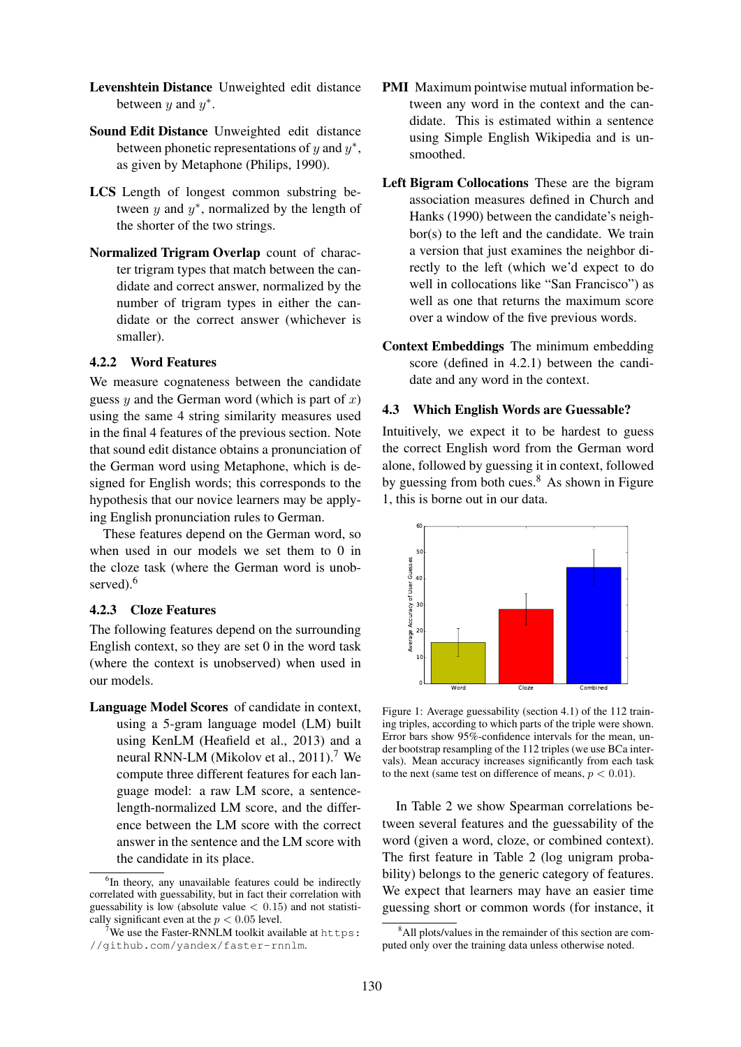- Levenshtein Distance Unweighted edit distance between  $y$  and  $y^*$ .
- Sound Edit Distance Unweighted edit distance between phonetic representations of  $y$  and  $y^*$ , as given by Metaphone (Philips, 1990).
- LCS Length of longest common substring between  $y$  and  $y^*$ , normalized by the length of the shorter of the two strings.
- Normalized Trigram Overlap count of character trigram types that match between the candidate and correct answer, normalized by the number of trigram types in either the candidate or the correct answer (whichever is smaller).

## 4.2.2 Word Features

We measure cognateness between the candidate guess y and the German word (which is part of  $x$ ) using the same 4 string similarity measures used in the final 4 features of the previous section. Note that sound edit distance obtains a pronunciation of the German word using Metaphone, which is designed for English words; this corresponds to the hypothesis that our novice learners may be applying English pronunciation rules to German.

These features depend on the German word, so when used in our models we set them to 0 in the cloze task (where the German word is unobserved).<sup>6</sup>

## 4.2.3 Cloze Features

The following features depend on the surrounding English context, so they are set 0 in the word task (where the context is unobserved) when used in our models.

Language Model Scores of candidate in context, using a 5-gram language model (LM) built using KenLM (Heafield et al., 2013) and a neural RNN-LM (Mikolov et al., 2011).<sup>7</sup> We compute three different features for each language model: a raw LM score, a sentencelength-normalized LM score, and the difference between the LM score with the correct answer in the sentence and the LM score with the candidate in its place.

- PMI Maximum pointwise mutual information between any word in the context and the candidate. This is estimated within a sentence using Simple English Wikipedia and is unsmoothed.
- Left Bigram Collocations These are the bigram association measures defined in Church and Hanks (1990) between the candidate's neighbor(s) to the left and the candidate. We train a version that just examines the neighbor directly to the left (which we'd expect to do well in collocations like "San Francisco") as well as one that returns the maximum score over a window of the five previous words.
- Context Embeddings The minimum embedding score (defined in 4.2.1) between the candidate and any word in the context.

## 4.3 Which English Words are Guessable?

Intuitively, we expect it to be hardest to guess the correct English word from the German word alone, followed by guessing it in context, followed by guessing from both cues. $8$  As shown in Figure 1, this is borne out in our data.



Figure 1: Average guessability (section 4.1) of the 112 training triples, according to which parts of the triple were shown. Error bars show 95%-confidence intervals for the mean, under bootstrap resampling of the 112 triples (we use BCa intervals). Mean accuracy increases significantly from each task to the next (same test on difference of means,  $p < 0.01$ ).

In Table 2 we show Spearman correlations between several features and the guessability of the word (given a word, cloze, or combined context). The first feature in Table 2 (log unigram probability) belongs to the generic category of features. We expect that learners may have an easier time guessing short or common words (for instance, it

<sup>&</sup>lt;sup>6</sup>In theory, any unavailable features could be indirectly correlated with guessability, but in fact their correlation with guessability is low (absolute value  $< 0.15$ ) and not statistically significant even at the  $p < 0.05$  level.

<sup>&</sup>lt;sup>7</sup>We use the Faster-RNNLM toolkit available at https: //github.com/yandex/faster-rnnlm.

<sup>&</sup>lt;sup>8</sup>All plots/values in the remainder of this section are computed only over the training data unless otherwise noted.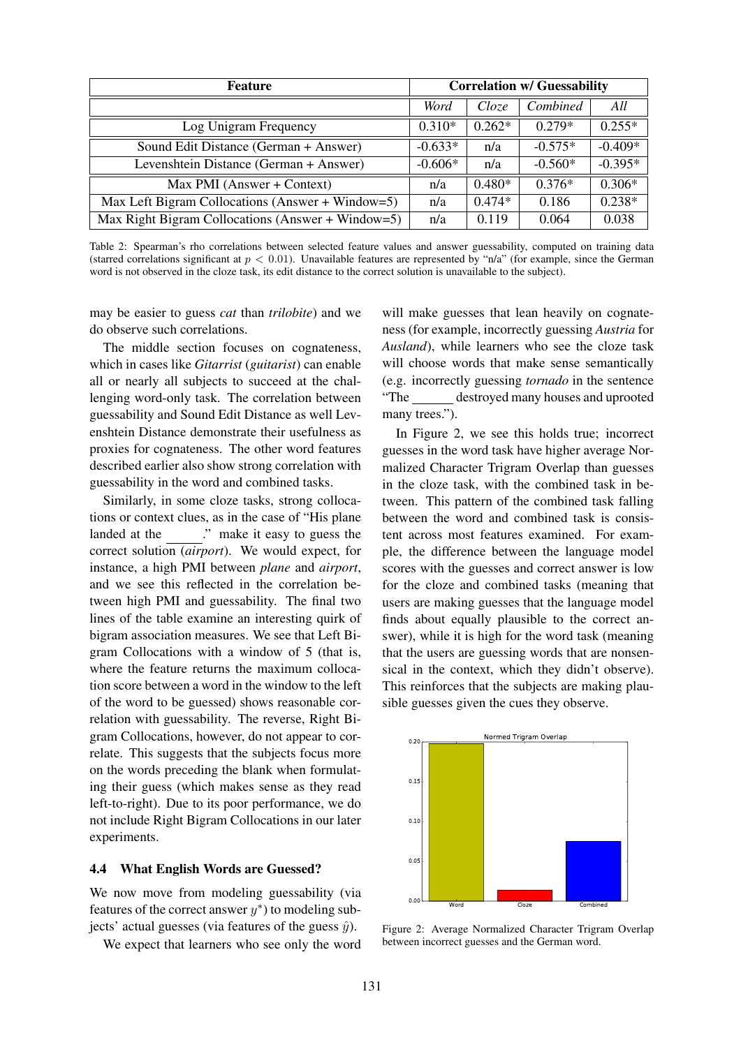| Feature                                           |           | <b>Correlation w/ Guessability</b> |           |           |  |
|---------------------------------------------------|-----------|------------------------------------|-----------|-----------|--|
|                                                   | Word      | Cloze                              | Combined  | All       |  |
| Log Unigram Frequency                             | $0.310*$  | $0.262*$                           | $0.279*$  | $0.255*$  |  |
| Sound Edit Distance (German + Answer)             | $-0.633*$ | n/a                                | $-0.575*$ | $-0.409*$ |  |
| Levenshtein Distance (German + Answer)            | $-0.606*$ | n/a                                | $-0.560*$ | $-0.395*$ |  |
| Max PMI (Answer + Context)                        |           | $0.480*$                           | $0.376*$  | $0.306*$  |  |
| Max Left Bigram Collocations (Answer + Window=5)  | n/a       | $0.474*$                           | 0.186     | $0.238*$  |  |
| Max Right Bigram Collocations (Answer + Window=5) | n/a       | 0.119                              | 0.064     | 0.038     |  |

Table 2: Spearman's rho correlations between selected feature values and answer guessability, computed on training data (starred correlations significant at  $p < 0.01$ ). Unavailable features are represented by "n/a" (for example, since the German word is not observed in the cloze task, its edit distance to the correct solution is unavailable to the subject).

may be easier to guess *cat* than *trilobite*) and we do observe such correlations.

The middle section focuses on cognateness, which in cases like *Gitarrist* (*guitarist*) can enable all or nearly all subjects to succeed at the challenging word-only task. The correlation between guessability and Sound Edit Distance as well Levenshtein Distance demonstrate their usefulness as proxies for cognateness. The other word features described earlier also show strong correlation with guessability in the word and combined tasks.

Similarly, in some cloze tasks, strong collocations or context clues, as in the case of "His plane landed at the ..." make it easy to guess the correct solution (*airport*). We would expect, for instance, a high PMI between *plane* and *airport*, and we see this reflected in the correlation between high PMI and guessability. The final two lines of the table examine an interesting quirk of bigram association measures. We see that Left Bigram Collocations with a window of 5 (that is, where the feature returns the maximum collocation score between a word in the window to the left of the word to be guessed) shows reasonable correlation with guessability. The reverse, Right Bigram Collocations, however, do not appear to correlate. This suggests that the subjects focus more on the words preceding the blank when formulating their guess (which makes sense as they read left-to-right). Due to its poor performance, we do not include Right Bigram Collocations in our later experiments.

#### 4.4 What English Words are Guessed?

We now move from modeling guessability (via features of the correct answer  $y^*$ ) to modeling subjects' actual guesses (via features of the guess  $\hat{y}$ ).

We expect that learners who see only the word

will make guesses that lean heavily on cognateness (for example, incorrectly guessing *Austria* for *Ausland*), while learners who see the cloze task will choose words that make sense semantically (e.g. incorrectly guessing *tornado* in the sentence "The destroyed many houses and uprooted many trees.").

In Figure 2, we see this holds true; incorrect guesses in the word task have higher average Normalized Character Trigram Overlap than guesses in the cloze task, with the combined task in between. This pattern of the combined task falling between the word and combined task is consistent across most features examined. For example, the difference between the language model scores with the guesses and correct answer is low for the cloze and combined tasks (meaning that users are making guesses that the language model finds about equally plausible to the correct answer), while it is high for the word task (meaning that the users are guessing words that are nonsensical in the context, which they didn't observe). This reinforces that the subjects are making plausible guesses given the cues they observe.



Figure 2: Average Normalized Character Trigram Overlap between incorrect guesses and the German word.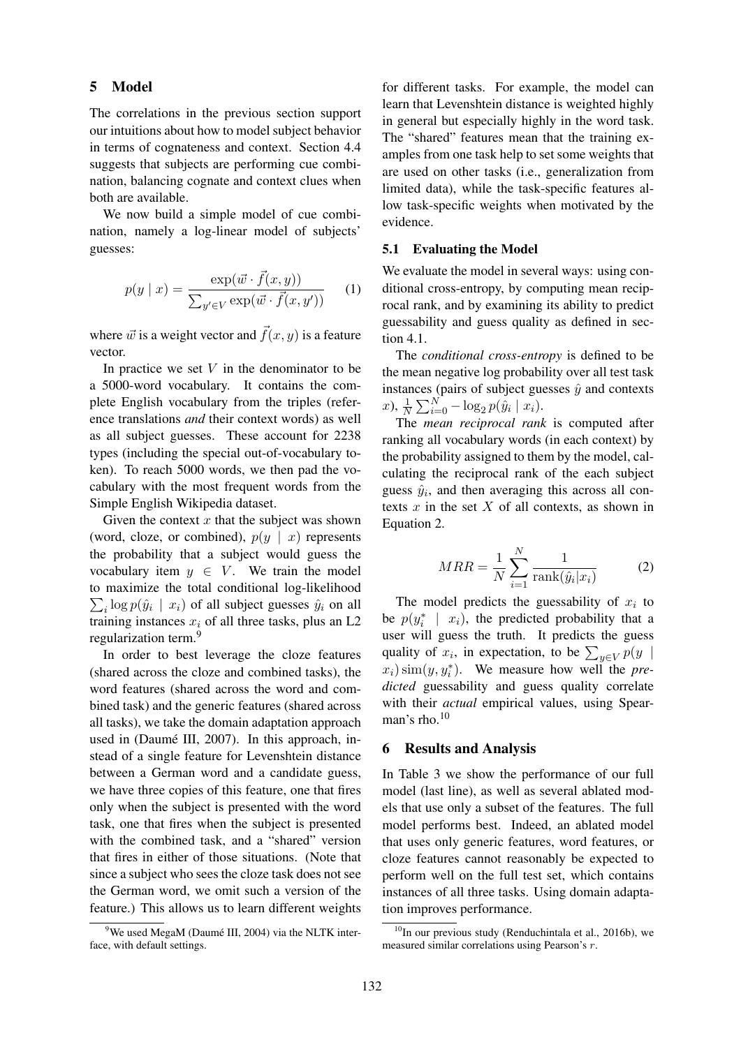### 5 Model

The correlations in the previous section support our intuitions about how to model subject behavior in terms of cognateness and context. Section 4.4 suggests that subjects are performing cue combination, balancing cognate and context clues when both are available.

We now build a simple model of cue combination, namely a log-linear model of subjects' guesses:

$$
p(y \mid x) = \frac{\exp(\vec{w} \cdot \vec{f}(x, y))}{\sum_{y' \in V} \exp(\vec{w} \cdot \vec{f}(x, y'))}
$$
 (1)

where  $\vec{w}$  is a weight vector and  $\vec{f}(x, y)$  is a feature vector.

In practice we set  $V$  in the denominator to be a 5000-word vocabulary. It contains the complete English vocabulary from the triples (reference translations *and* their context words) as well as all subject guesses. These account for 2238 types (including the special out-of-vocabulary token). To reach 5000 words, we then pad the vocabulary with the most frequent words from the Simple English Wikipedia dataset.

Given the context  $x$  that the subject was shown (word, cloze, or combined),  $p(y | x)$  represents the probability that a subject would guess the vocabulary item  $y \in V$ . We train the model to maximize the total conditional log-likelihood  $\sum_i \log p(\hat{y}_i | x_i)$  of all subject guesses  $\hat{y}_i$  on all training instances  $x_i$  of all three tasks, plus an L2 regularization term.<sup>9</sup>

In order to best leverage the cloze features (shared across the cloze and combined tasks), the word features (shared across the word and combined task) and the generic features (shared across all tasks), we take the domain adaptation approach used in (Daumé III, 2007). In this approach, instead of a single feature for Levenshtein distance between a German word and a candidate guess, we have three copies of this feature, one that fires only when the subject is presented with the word task, one that fires when the subject is presented with the combined task, and a "shared" version that fires in either of those situations. (Note that since a subject who sees the cloze task does not see the German word, we omit such a version of the feature.) This allows us to learn different weights

for different tasks. For example, the model can learn that Levenshtein distance is weighted highly in general but especially highly in the word task. The "shared" features mean that the training examples from one task help to set some weights that are used on other tasks (i.e., generalization from limited data), while the task-specific features allow task-specific weights when motivated by the evidence.

#### 5.1 Evaluating the Model

We evaluate the model in several ways: using conditional cross-entropy, by computing mean reciprocal rank, and by examining its ability to predict guessability and guess quality as defined in section 4.1.

The *conditional cross-entropy* is defined to be the mean negative log probability over all test task instances (pairs of subject guesses  $\hat{y}$  and contexts  $(x), \frac{1}{N} \sum_{i=0}^{N} -\log_2 p(\hat{y}_i | x_i).$ 

The *mean reciprocal rank* is computed after ranking all vocabulary words (in each context) by the probability assigned to them by the model, calculating the reciprocal rank of the each subject guess  $\hat{y}_i$ , and then averaging this across all contexts  $x$  in the set  $X$  of all contexts, as shown in Equation 2.

$$
MRR = \frac{1}{N} \sum_{i=1}^{N} \frac{1}{\text{rank}(\hat{y}_i|x_i)}\tag{2}
$$

The model predicts the guessability of  $x_i$  to be  $p(y_i^* \mid x_i)$ , the predicted probability that a user will guess the truth. It predicts the guess quality of  $x_i$ , in expectation, to be  $\sum_{y \in V} p(y)$  $(x_i)$  sim $(y, y_i^*)$ . We measure how well the *predicted* guessability and guess quality correlate with their *actual* empirical values, using Spearman's rho. $10$ 

### 6 Results and Analysis

In Table 3 we show the performance of our full model (last line), as well as several ablated models that use only a subset of the features. The full model performs best. Indeed, an ablated model that uses only generic features, word features, or cloze features cannot reasonably be expected to perform well on the full test set, which contains instances of all three tasks. Using domain adaptation improves performance.

 $9$ We used MegaM (Daumé III, 2004) via the NLTK interface, with default settings.

 $10$ In our previous study (Renduchintala et al., 2016b), we measured similar correlations using Pearson's r.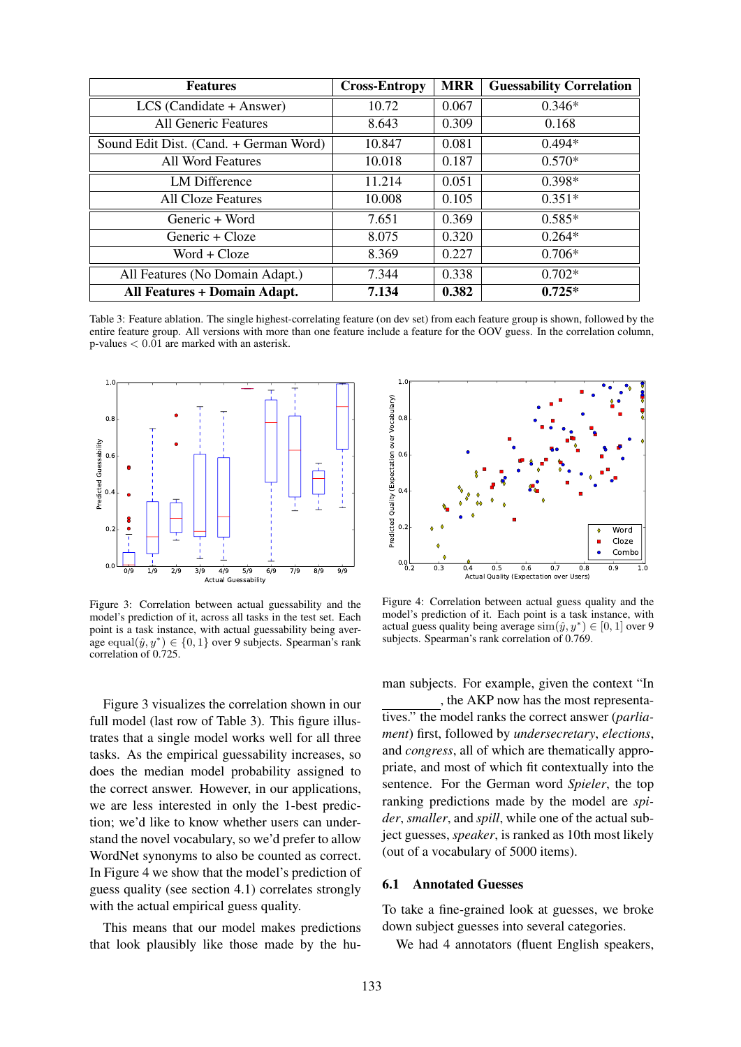| <b>Features</b>                        | <b>Cross-Entropy</b> | <b>MRR</b> | <b>Guessability Correlation</b> |
|----------------------------------------|----------------------|------------|---------------------------------|
| $LCS$ (Candidate + Answer)             | 10.72                | 0.067      | $0.346*$                        |
| All Generic Features                   | 8.643                | 0.309      | 0.168                           |
| Sound Edit Dist. (Cand. + German Word) | 10.847               | 0.081      | $0.494*$                        |
| All Word Features                      | 10.018               | 0.187      | $0.570*$                        |
| <b>LM</b> Difference                   | 11.214               | 0.051      | $0.398*$                        |
| <b>All Cloze Features</b>              | 10.008               | 0.105      | $0.351*$                        |
| Generic + Word                         | 7.651                | 0.369      | $0.585*$                        |
| Generic + Cloze                        | 8.075                | 0.320      | $0.264*$                        |
| $Word + Cloze$                         | 8.369                | 0.227      | $0.706*$                        |
| All Features (No Domain Adapt.)        | 7.344                | 0.338      | $0.702*$                        |
| <b>All Features + Domain Adapt.</b>    | 7.134                | 0.382      | $0.725*$                        |

Table 3: Feature ablation. The single highest-correlating feature (on dev set) from each feature group is shown, followed by the entire feature group. All versions with more than one feature include a feature for the OOV guess. In the correlation column, p-values < 0.01 are marked with an asterisk.



Figure 3: Correlation between actual guessability and the model's prediction of it, across all tasks in the test set. Each point is a task instance, with actual guessability being average equal $(\hat{y}, y^*) \in \{0, 1\}$  over 9 subjects. Spearman's rank correlation of 0.725.

Figure 3 visualizes the correlation shown in our full model (last row of Table 3). This figure illustrates that a single model works well for all three tasks. As the empirical guessability increases, so does the median model probability assigned to the correct answer. However, in our applications, we are less interested in only the 1-best prediction; we'd like to know whether users can understand the novel vocabulary, so we'd prefer to allow WordNet synonyms to also be counted as correct. In Figure 4 we show that the model's prediction of guess quality (see section 4.1) correlates strongly with the actual empirical guess quality.

This means that our model makes predictions that look plausibly like those made by the hu-



Figure 4: Correlation between actual guess quality and the model's prediction of it. Each point is a task instance, with actual guess quality being average  $\text{sim}(\hat{y}, y^*) \in [0, 1]$  over 9 subjects. Spearman's rank correlation of 0.769.

man subjects. For example, given the context "In

, the AKP now has the most representatives." the model ranks the correct answer (*parliament*) first, followed by *undersecretary*, *elections*, and *congress*, all of which are thematically appropriate, and most of which fit contextually into the sentence. For the German word *Spieler*, the top ranking predictions made by the model are *spider*, *smaller*, and *spill*, while one of the actual subject guesses, *speaker*, is ranked as 10th most likely (out of a vocabulary of 5000 items).

#### 6.1 Annotated Guesses

To take a fine-grained look at guesses, we broke down subject guesses into several categories.

We had 4 annotators (fluent English speakers,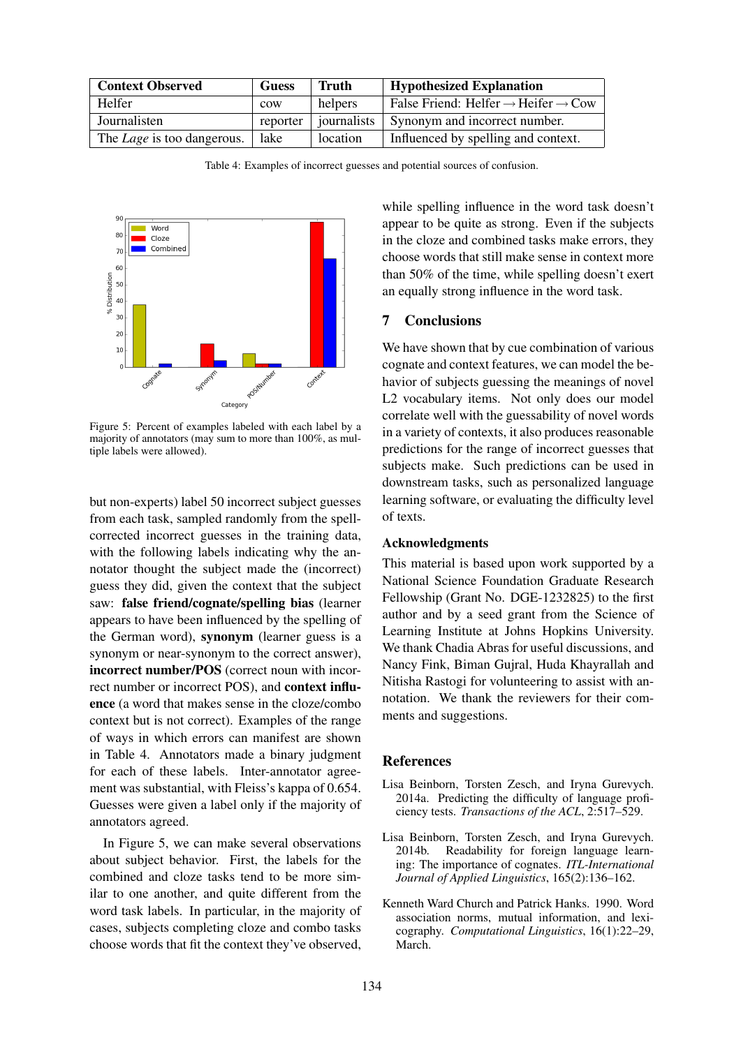| <b>Context Observed</b>           | <b>Guess</b> | Truth       | <b>Hypothesized Explanation</b>                             |
|-----------------------------------|--------------|-------------|-------------------------------------------------------------|
| Helfer                            | COW          | helpers     | False Friend: Helfer $\rightarrow$ Heifer $\rightarrow$ Cow |
| Journalisten                      | reporter     | journalists | Synonym and incorrect number.                               |
| The <i>Lage</i> is too dangerous. | lake         | location    | Influenced by spelling and context.                         |

Table 4: Examples of incorrect guesses and potential sources of confusion.



Figure 5: Percent of examples labeled with each label by a majority of annotators (may sum to more than 100%, as multiple labels were allowed).

but non-experts) label 50 incorrect subject guesses from each task, sampled randomly from the spellcorrected incorrect guesses in the training data, with the following labels indicating why the annotator thought the subject made the (incorrect) guess they did, given the context that the subject saw: false friend/cognate/spelling bias (learner appears to have been influenced by the spelling of the German word), synonym (learner guess is a synonym or near-synonym to the correct answer), incorrect number/POS (correct noun with incorrect number or incorrect POS), and context influence (a word that makes sense in the cloze/combo context but is not correct). Examples of the range of ways in which errors can manifest are shown in Table 4. Annotators made a binary judgment for each of these labels. Inter-annotator agreement was substantial, with Fleiss's kappa of 0.654. Guesses were given a label only if the majority of annotators agreed.

In Figure 5, we can make several observations about subject behavior. First, the labels for the combined and cloze tasks tend to be more similar to one another, and quite different from the word task labels. In particular, in the majority of cases, subjects completing cloze and combo tasks choose words that fit the context they've observed,

while spelling influence in the word task doesn't appear to be quite as strong. Even if the subjects in the cloze and combined tasks make errors, they choose words that still make sense in context more than 50% of the time, while spelling doesn't exert an equally strong influence in the word task.

## 7 Conclusions

We have shown that by cue combination of various cognate and context features, we can model the behavior of subjects guessing the meanings of novel L2 vocabulary items. Not only does our model correlate well with the guessability of novel words in a variety of contexts, it also produces reasonable predictions for the range of incorrect guesses that subjects make. Such predictions can be used in downstream tasks, such as personalized language learning software, or evaluating the difficulty level of texts.

#### Acknowledgments

This material is based upon work supported by a National Science Foundation Graduate Research Fellowship (Grant No. DGE-1232825) to the first author and by a seed grant from the Science of Learning Institute at Johns Hopkins University. We thank Chadia Abras for useful discussions, and Nancy Fink, Biman Gujral, Huda Khayrallah and Nitisha Rastogi for volunteering to assist with annotation. We thank the reviewers for their comments and suggestions.

### **References**

- Lisa Beinborn, Torsten Zesch, and Iryna Gurevych. 2014a. Predicting the difficulty of language proficiency tests. *Transactions of the ACL*, 2:517–529.
- Lisa Beinborn, Torsten Zesch, and Iryna Gurevych. 2014b. Readability for foreign language learning: The importance of cognates. *ITL-International Journal of Applied Linguistics*, 165(2):136–162.
- Kenneth Ward Church and Patrick Hanks. 1990. Word association norms, mutual information, and lexicography. *Computational Linguistics*, 16(1):22–29, March.